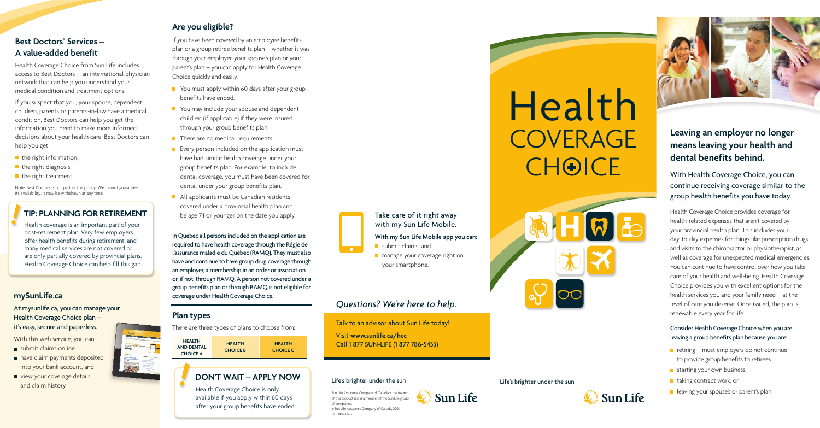#### Life's brighter under the sun

# Health **COVERAGE** CHOICE



#### Life's brighter under the sun





# **Leaving an employer no longer means leaving your health and dental benefits behind.**

With Health Coverage Choice, you can continue receiving coverage similar to the group health benefits you have today.

Health Coverage Choice provides coverage for health-related expenses that aren't covered by your provincial health plan. This includes your day-to-day expenses for things like prescription drugs and visits to the chiropractor or physiotherapist, as well as coverage for unexpected medical emergencies. You can continue to have control over how you take care of your health and well-being. Health Coverage Choice provides you with excellent options for the health services you and your family need – at the level of care you deserve. Once issued, the plan is renewable every year for life.

# **Best Doctors<sup>®</sup> Services – A value-added benefit**

#### Consider Health Coverage Choice when you are leaving a group benefits plan because you are:

- $\blacksquare$  retiring most employers do not continue to provide group benefits to retirees
- starting your own business,
- $\blacksquare$  taking contract work, or
- **leaving your spouse's or parent's plan.**
- submit claims online,
- have claim payments deposited into your bank account, and
- view your coverage details and claim history.



Health Coverage Choice from Sun Life includes access to Best Doctors – an international physician network that can help you understand your medical condition and treatment options.

If you suspect that you, your spouse, dependent children, parents or parents-in-law have a medical condition, Best Doctors can help you get the information you need to make more informed decisions about your health care. Best Doctors can help you get:

- $\blacksquare$  the right information,
- $\blacksquare$  the right diagnosis,
- $\blacksquare$  the right treatment.
- $\blacksquare$  You must apply within 60 days after your group benefits have ended.
- You may include your spouse and dependent children (if applicable) if they were insured through your group benefits plan.
- $\blacksquare$  There are no medical requirements.
- **Exery person included on the application must** have had similar health coverage under your group benefits plan. For example, to include dental coverage, you must have been covered for dental under your group benefits plan.
- All applicants must be Canadian residents covered under a provincial health plan and be age 74 or younger on the date you apply.

Note: Best Doctors is not part of the policy. We cannot guarantee its availability. It may be withdrawn at any time.

# **TIP: PLANNING FOR RETIREMENT**

Health coverage is an important part of your post-retirement plan. Very few employers offer health benefits during retirement, and many medical services are not covered or are only partially covered by provincial plans. Health Coverage Choice can help fill this gap.

- submit claims, and
- **n** manage your coverage right on your smartphone.

# **[mySunLife.ca](http://mySunLife.ca)**

#### At [mysunlife.ca,](http://mySunLife.ca) you can manage your Health Coverage Choice plan – it's easy, secure and paperless.

With this web service, you can:

# **Are you eligible?**

If you have been covered by an employee benefits plan or a group retiree benefits plan – whether it was through your employer, your spouse's plan or your parent's plan – you can apply for Health Coverage Choice quickly and easily.

In Quebec all persons included on the application are required to have health coverage through the Régie de l'assurance maladie du Québec (RAMQ). They must also have and continue to have group drug coverage through an employer, a membership in an order or association or, if not, through RAMQ. A person not covered under a group benefits plan or through RAMQ is not eligible for coverage under Health Coverage Choice.

### **Plan types**

There are three types of plans to choose from:



# **DON'T WAIT – APPLY NOW**

Health Coverage Choice is only available if you apply within 60 days after your group benefits have ended.



# Take care of it right away with my Sun Life Mobile.

#### **With my Sun Life Mobile app you can:**

# *Questions? We're here to help.*

Talk to an advisor about Sun Life today! Visit **[www.sunlife.ca/hcc](http://www.sunlife.ca/hcc)** Call 1 877 SUN-LIFE (1 877 786-5433)

Sun Life Assurance Company of Canada is the insurer of this product and is a member of the Sun Life group of companies. © Sun Life Assurance Company of Canada, 2021. 810-3489-02-21